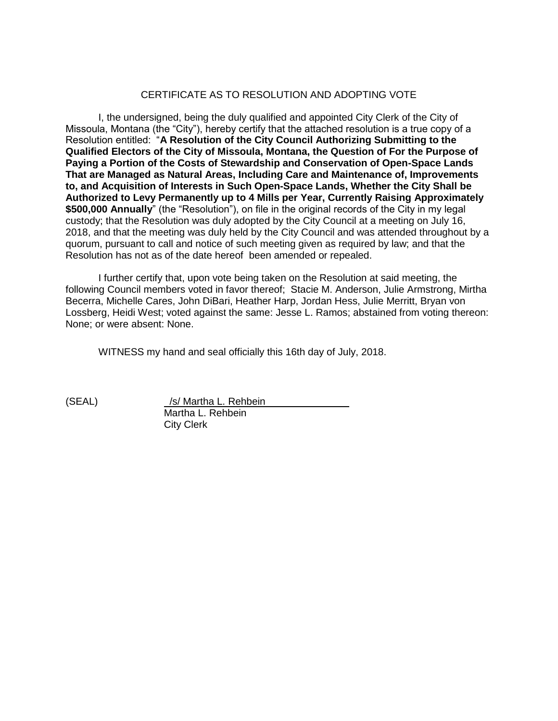# CERTIFICATE AS TO RESOLUTION AND ADOPTING VOTE

I, the undersigned, being the duly qualified and appointed City Clerk of the City of Missoula, Montana (the "City"), hereby certify that the attached resolution is a true copy of a Resolution entitled: "**A Resolution of the City Council Authorizing Submitting to the Qualified Electors of the City of Missoula, Montana, the Question of For the Purpose of Paying a Portion of the Costs of Stewardship and Conservation of Open-Space Lands That are Managed as Natural Areas, Including Care and Maintenance of, Improvements to, and Acquisition of Interests in Such Open-Space Lands, Whether the City Shall be Authorized to Levy Permanently up to 4 Mills per Year, Currently Raising Approximately \$500,000 Annually**" (the "Resolution"), on file in the original records of the City in my legal custody; that the Resolution was duly adopted by the City Council at a meeting on July 16, 2018, and that the meeting was duly held by the City Council and was attended throughout by a quorum, pursuant to call and notice of such meeting given as required by law; and that the Resolution has not as of the date hereof been amended or repealed.

I further certify that, upon vote being taken on the Resolution at said meeting, the following Council members voted in favor thereof; Stacie M. Anderson, Julie Armstrong, Mirtha Becerra, Michelle Cares, John DiBari, Heather Harp, Jordan Hess, Julie Merritt, Bryan von Lossberg, Heidi West; voted against the same: Jesse L. Ramos; abstained from voting thereon: None; or were absent: None.

WITNESS my hand and seal officially this 16th day of July, 2018.

(SEAL) /s/ Martha L. Rehbein Martha L. Rehbein City Clerk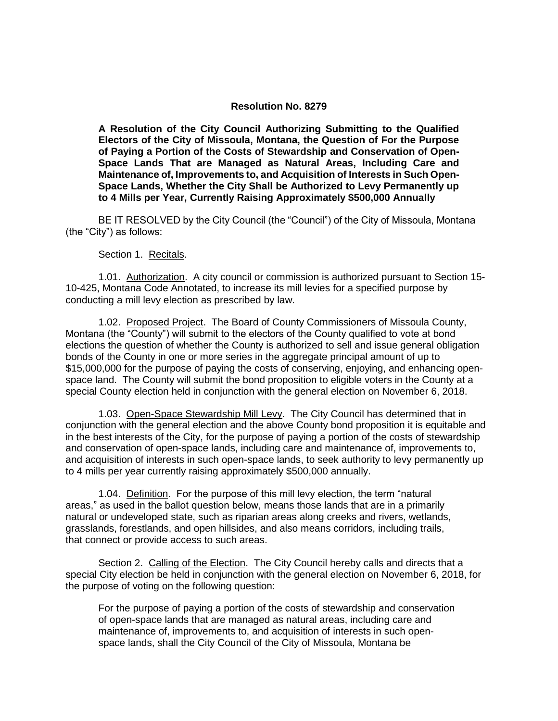### **Resolution No. 8279**

**A Resolution of the City Council Authorizing Submitting to the Qualified Electors of the City of Missoula, Montana, the Question of For the Purpose of Paying a Portion of the Costs of Stewardship and Conservation of Open-Space Lands That are Managed as Natural Areas, Including Care and Maintenance of, Improvements to, and Acquisition of Interests in Such Open-Space Lands, Whether the City Shall be Authorized to Levy Permanently up to 4 Mills per Year, Currently Raising Approximately \$500,000 Annually** 

BE IT RESOLVED by the City Council (the "Council") of the City of Missoula, Montana (the "City") as follows:

Section 1. Recitals.

1.01. Authorization. A city council or commission is authorized pursuant to Section 15- 10-425, Montana Code Annotated, to increase its mill levies for a specified purpose by conducting a mill levy election as prescribed by law.

1.02. Proposed Project. The Board of County Commissioners of Missoula County, Montana (the "County") will submit to the electors of the County qualified to vote at bond elections the question of whether the County is authorized to sell and issue general obligation bonds of the County in one or more series in the aggregate principal amount of up to \$15,000,000 for the purpose of paying the costs of conserving, enjoying, and enhancing openspace land. The County will submit the bond proposition to eligible voters in the County at a special County election held in conjunction with the general election on November 6, 2018.

1.03. Open-Space Stewardship Mill Levy. The City Council has determined that in conjunction with the general election and the above County bond proposition it is equitable and in the best interests of the City, for the purpose of paying a portion of the costs of stewardship and conservation of open-space lands, including care and maintenance of, improvements to, and acquisition of interests in such open-space lands, to seek authority to levy permanently up to 4 mills per year currently raising approximately \$500,000 annually.

1.04. Definition. For the purpose of this mill levy election, the term "natural areas," as used in the ballot question below, means those lands that are in a primarily natural or undeveloped state, such as riparian areas along creeks and rivers, wetlands, grasslands, forestlands, and open hillsides, and also means corridors, including trails, that connect or provide access to such areas.

Section 2. Calling of the Election. The City Council hereby calls and directs that a special City election be held in conjunction with the general election on November 6, 2018, for the purpose of voting on the following question:

For the purpose of paying a portion of the costs of stewardship and conservation of open-space lands that are managed as natural areas, including care and maintenance of, improvements to, and acquisition of interests in such openspace lands, shall the City Council of the City of Missoula, Montana be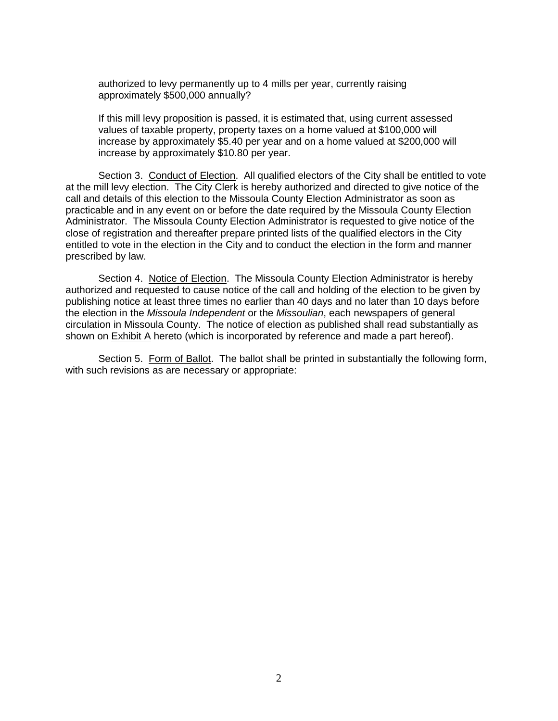authorized to levy permanently up to 4 mills per year, currently raising approximately \$500,000 annually?

If this mill levy proposition is passed, it is estimated that, using current assessed values of taxable property, property taxes on a home valued at \$100,000 will increase by approximately \$5.40 per year and on a home valued at \$200,000 will increase by approximately \$10.80 per year.

Section 3. Conduct of Election. All qualified electors of the City shall be entitled to vote at the mill levy election. The City Clerk is hereby authorized and directed to give notice of the call and details of this election to the Missoula County Election Administrator as soon as practicable and in any event on or before the date required by the Missoula County Election Administrator. The Missoula County Election Administrator is requested to give notice of the close of registration and thereafter prepare printed lists of the qualified electors in the City entitled to vote in the election in the City and to conduct the election in the form and manner prescribed by law.

Section 4. Notice of Election. The Missoula County Election Administrator is hereby authorized and requested to cause notice of the call and holding of the election to be given by publishing notice at least three times no earlier than 40 days and no later than 10 days before the election in the *Missoula Independent* or the *Missoulian*, each newspapers of general circulation in Missoula County. The notice of election as published shall read substantially as shown on Exhibit A hereto (which is incorporated by reference and made a part hereof).

Section 5. Form of Ballot. The ballot shall be printed in substantially the following form, with such revisions as are necessary or appropriate: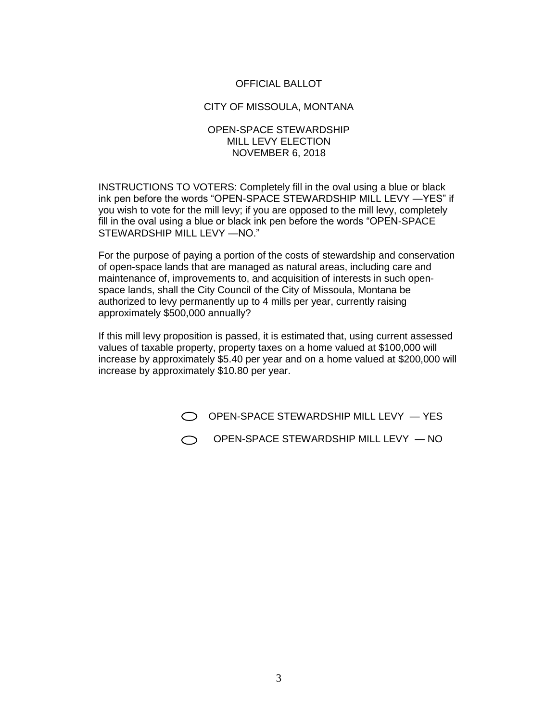## OFFICIAL BALLOT

#### CITY OF MISSOULA, MONTANA

#### OPEN-SPACE STEWARDSHIP MILL LEVY ELECTION NOVEMBER 6, 2018

INSTRUCTIONS TO VOTERS: Completely fill in the oval using a blue or black ink pen before the words "OPEN-SPACE STEWARDSHIP MILL LEVY —YES" if you wish to vote for the mill levy; if you are opposed to the mill levy, completely fill in the oval using a blue or black ink pen before the words "OPEN-SPACE STEWARDSHIP MILL LEVY —NO."

For the purpose of paying a portion of the costs of stewardship and conservation of open-space lands that are managed as natural areas, including care and maintenance of, improvements to, and acquisition of interests in such openspace lands, shall the City Council of the City of Missoula, Montana be authorized to levy permanently up to 4 mills per year, currently raising approximately \$500,000 annually?

If this mill levy proposition is passed, it is estimated that, using current assessed values of taxable property, property taxes on a home valued at \$100,000 will increase by approximately \$5.40 per year and on a home valued at \$200,000 will increase by approximately \$10.80 per year.

 $\bigcirc$  OPEN-SPACE STEWARDSHIP MILL LEVY  $-$  YES

OPEN-SPACE STEWARDSHIP MILL LEVY — NO $\bigcap$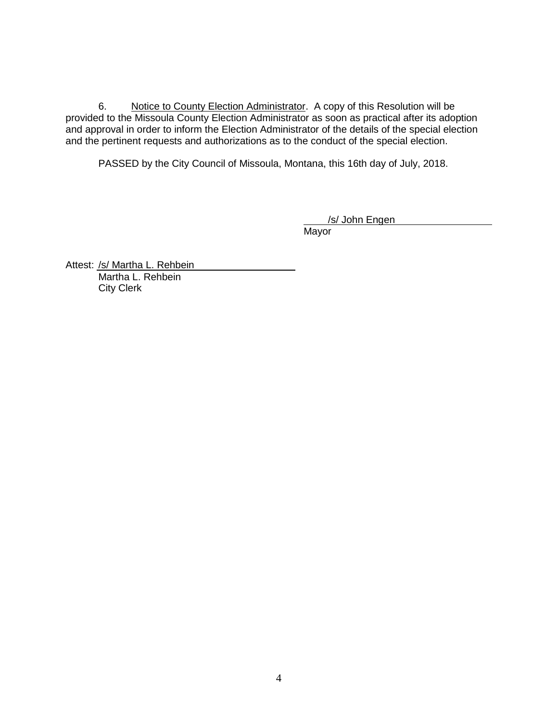6. Notice to County Election Administrator. A copy of this Resolution will be provided to the Missoula County Election Administrator as soon as practical after its adoption and approval in order to inform the Election Administrator of the details of the special election and the pertinent requests and authorizations as to the conduct of the special election.

PASSED by the City Council of Missoula, Montana, this 16th day of July, 2018.

/s/ John Engen

Mayor

Attest: /s/ Martha L. Rehbein Martha L. Rehbein City Clerk